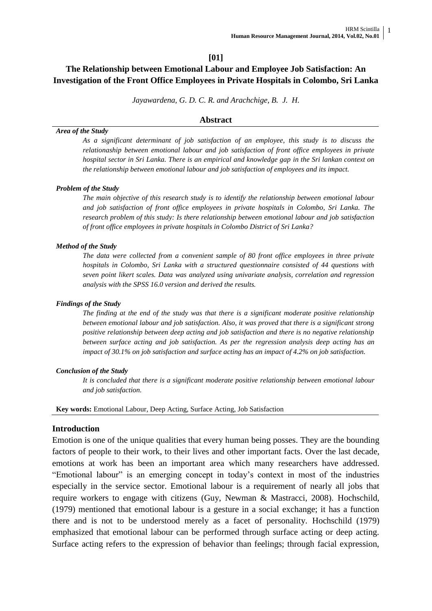### **[01]**

# **The Relationship between Emotional Labour and Employee Job Satisfaction: An Investigation of the Front Office Employees in Private Hospitals in Colombo, Sri Lanka**

*Jayawardena, G. D. C. R. and Arachchige, B. J. H.*

#### **Abstract**

#### *Area of the Study*

*As a significant determinant of job satisfaction of an employee, this study is to discuss the relationaship between emotional labour and job satisfaction of front office employees in private hospital sector in Sri Lanka. There is an empirical and knowledge gap in the Sri lankan context on the relationship between emotional labour and job satisfaction of employees and its impact.* 

#### *Problem of the Study*

*The main objective of this research study is to identify the relationship between emotional labour and job satisfaction of front office employees in private hospitals in Colombo, Sri Lanka. The research problem of this study: Is there relationship between emotional labour and job satisfaction of front office employees in private hospitals in Colombo District of Sri Lanka?*

#### *Method of the Study*

*The data were collected from a convenient sample of 80 front office employees in three private hospitals in Colombo, Sri Lanka with a structured questionnaire consisted of 44 questions with seven point likert scales. Data was analyzed using univariate analysis, correlation and regression analysis with the SPSS 16.0 version and derived the results.*

#### *Findings of the Study*

*The finding at the end of the study was that there is a significant moderate positive relationship between emotional labour and job satisfaction. Also, it was proved that there is a significant strong positive relationship between deep acting and job satisfaction and there is no negative relationship between surface acting and job satisfaction. As per the regression analysis deep acting has an impact of 30.1% on job satisfaction and surface acting has an impact of 4.2% on job satisfaction.*

#### *Conclusion of the Study*

*It is concluded that there is a significant moderate positive relationship between emotional labour and job satisfaction.*

**Key words:** Emotional Labour, Deep Acting, Surface Acting, Job Satisfaction

#### **Introduction**

Emotion is one of the unique qualities that every human being posses. They are the bounding factors of people to their work, to their lives and other important facts. Over the last decade, emotions at work has been an important area which many researchers have addressed. "Emotional labour" is an emerging concept in today"s context in most of the industries especially in the service sector. Emotional labour is a requirement of nearly all jobs that require workers to engage with citizens (Guy, Newman & Mastracci, 2008). Hochschild, (1979) mentioned that emotional labour is a gesture in a social exchange; it has a function there and is not to be understood merely as a facet of personality. Hochschild (1979) emphasized that emotional labour can be performed through surface acting or deep acting. Surface acting refers to the expression of behavior than feelings; through facial expression,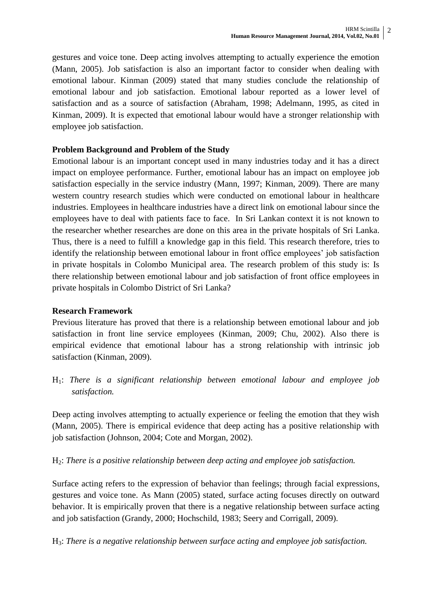gestures and voice tone. Deep acting involves attempting to actually experience the emotion (Mann, 2005). Job satisfaction is also an important factor to consider when dealing with emotional labour. Kinman (2009) stated that many studies conclude the relationship of emotional labour and job satisfaction. Emotional labour reported as a lower level of satisfaction and as a source of satisfaction (Abraham, 1998; Adelmann, 1995, as cited in Kinman, 2009). It is expected that emotional labour would have a stronger relationship with employee job satisfaction.

## **Problem Background and Problem of the Study**

Emotional labour is an important concept used in many industries today and it has a direct impact on employee performance. Further, emotional labour has an impact on employee job satisfaction especially in the service industry (Mann, 1997; Kinman, 2009). There are many western country research studies which were conducted on emotional labour in healthcare industries. Employees in healthcare industries have a direct link on emotional labour since the employees have to deal with patients face to face. In Sri Lankan context it is not known to the researcher whether researches are done on this area in the private hospitals of Sri Lanka. Thus, there is a need to fulfill a knowledge gap in this field. This research therefore, tries to identify the relationship between emotional labour in front office employees" job satisfaction in private hospitals in Colombo Municipal area. The research problem of this study is: Is there relationship between emotional labour and job satisfaction of front office employees in private hospitals in Colombo District of Sri Lanka?

# **Research Framework**

Previous literature has proved that there is a relationship between emotional labour and job satisfaction in front line service employees (Kinman, 2009; Chu, 2002). Also there is empirical evidence that emotional labour has a strong relationship with intrinsic job satisfaction (Kinman, 2009).

H1: *There is a significant relationship between emotional labour and employee job satisfaction.*

Deep acting involves attempting to actually experience or feeling the emotion that they wish (Mann, 2005). There is empirical evidence that deep acting has a positive relationship with job satisfaction (Johnson, 2004; Cote and Morgan, 2002).

H2: *There is a positive relationship between deep acting and employee job satisfaction.*

Surface acting refers to the expression of behavior than feelings; through facial expressions, gestures and voice tone. As Mann (2005) stated, surface acting focuses directly on outward behavior. It is empirically proven that there is a negative relationship between surface acting and job satisfaction (Grandy, 2000; Hochschild, 1983; Seery and Corrigall, 2009).

H3: *There is a negative relationship between surface acting and employee job satisfaction.*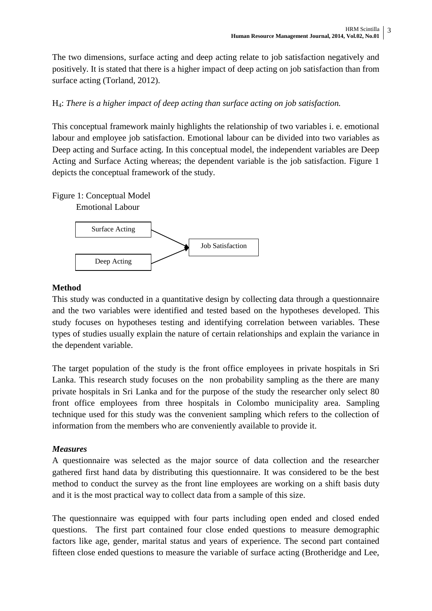The two dimensions, surface acting and deep acting relate to job satisfaction negatively and positively. It is stated that there is a higher impact of deep acting on job satisfaction than from surface acting (Torland, 2012).

# H4: *There is a higher impact of deep acting than surface acting on job satisfaction.*

This conceptual framework mainly highlights the relationship of two variables i. e. emotional labour and employee job satisfaction. Emotional labour can be divided into two variables as Deep acting and Surface acting. In this conceptual model, the independent variables are Deep Acting and Surface Acting whereas; the dependent variable is the job satisfaction. Figure 1 depicts the conceptual framework of the study.

Figure 1: Conceptual Model





# **Method**

This study was conducted in a quantitative design by collecting data through a questionnaire and the two variables were identified and tested based on the hypotheses developed. This study focuses on hypotheses testing and identifying correlation between variables. These types of studies usually explain the nature of certain relationships and explain the variance in the dependent variable.

The target population of the study is the front office employees in private hospitals in Sri Lanka. This research study focuses on the non probability sampling as the there are many private hospitals in Sri Lanka and for the purpose of the study the researcher only select 80 front office employees from three hospitals in Colombo municipality area. Sampling technique used for this study was the convenient sampling which refers to the collection of information from the members who are conveniently available to provide it.

# *Measures*

A questionnaire was selected as the major source of data collection and the researcher gathered first hand data by distributing this questionnaire. It was considered to be the best method to conduct the survey as the front line employees are working on a shift basis duty and it is the most practical way to collect data from a sample of this size.

The questionnaire was equipped with four parts including open ended and closed ended questions. The first part contained four close ended questions to measure demographic factors like age, gender, marital status and years of experience. The second part contained fifteen close ended questions to measure the variable of surface acting (Brotheridge and Lee,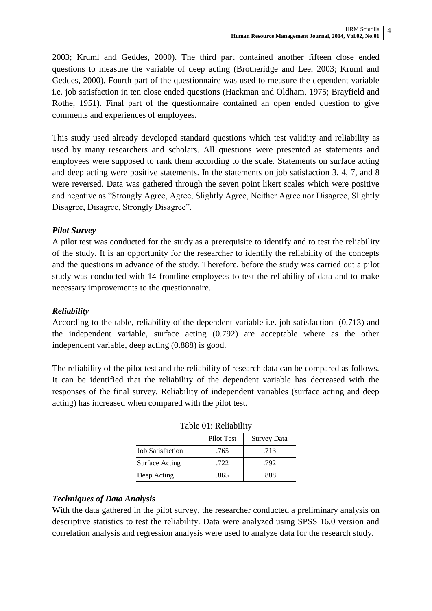2003; Kruml and Geddes, 2000). The third part contained another fifteen close ended questions to measure the variable of deep acting (Brotheridge and Lee, 2003; Kruml and Geddes, 2000). Fourth part of the questionnaire was used to measure the dependent variable i.e. job satisfaction in ten close ended questions (Hackman and Oldham, 1975; Brayfield and Rothe, 1951). Final part of the questionnaire contained an open ended question to give comments and experiences of employees.

This study used already developed standard questions which test validity and reliability as used by many researchers and scholars. All questions were presented as statements and employees were supposed to rank them according to the scale. Statements on surface acting and deep acting were positive statements. In the statements on job satisfaction 3, 4, 7, and 8 were reversed. Data was gathered through the seven point likert scales which were positive and negative as "Strongly Agree, Agree, Slightly Agree, Neither Agree nor Disagree, Slightly Disagree, Disagree, Strongly Disagree".

# *Pilot Survey*

A pilot test was conducted for the study as a prerequisite to identify and to test the reliability of the study. It is an opportunity for the researcher to identify the reliability of the concepts and the questions in advance of the study. Therefore, before the study was carried out a pilot study was conducted with 14 frontline employees to test the reliability of data and to make necessary improvements to the questionnaire.

## *Reliability*

According to the table, reliability of the dependent variable i.e. job satisfaction (0.713) and the independent variable, surface acting (0.792) are acceptable where as the other independent variable, deep acting (0.888) is good.

The reliability of the pilot test and the reliability of research data can be compared as follows. It can be identified that the reliability of the dependent variable has decreased with the responses of the final survey. Reliability of independent variables (surface acting and deep acting) has increased when compared with the pilot test.

| $1.4010 \times 1.1011401110$ |            |                    |  |  |  |
|------------------------------|------------|--------------------|--|--|--|
|                              | Pilot Test | <b>Survey Data</b> |  |  |  |
| <b>Job Satisfaction</b>      | .765       | .713               |  |  |  |
| <b>Surface Acting</b>        | .722       | .792               |  |  |  |
| Deep Acting                  | .865       | .888               |  |  |  |

#### Table 01: Reliability

## *Techniques of Data Analysis*

With the data gathered in the pilot survey, the researcher conducted a preliminary analysis on descriptive statistics to test the reliability. Data were analyzed using SPSS 16.0 version and correlation analysis and regression analysis were used to analyze data for the research study.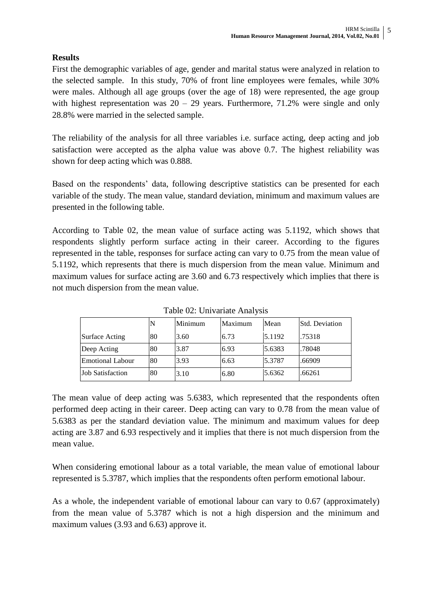# **Results**

First the demographic variables of age, gender and marital status were analyzed in relation to the selected sample. In this study, 70% of front line employees were females, while 30% were males. Although all age groups (over the age of 18) were represented, the age group with highest representation was  $20 - 29$  years. Furthermore, 71.2% were single and only 28.8% were married in the selected sample.

The reliability of the analysis for all three variables i.e. surface acting, deep acting and job satisfaction were accepted as the alpha value was above 0.7. The highest reliability was shown for deep acting which was 0.888.

Based on the respondents' data, following descriptive statistics can be presented for each variable of the study. The mean value, standard deviation, minimum and maximum values are presented in the following table.

According to Table 02, the mean value of surface acting was 5.1192, which shows that respondents slightly perform surface acting in their career. According to the figures represented in the table, responses for surface acting can vary to 0.75 from the mean value of 5.1192, which represents that there is much dispersion from the mean value. Minimum and maximum values for surface acting are 3.60 and 6.73 respectively which implies that there is not much dispersion from the mean value.

|                         | N  | Minimum | Maximum | Mean   | <b>Std. Deviation</b> |
|-------------------------|----|---------|---------|--------|-----------------------|
| Surface Acting          | 80 | 3.60    | 6.73    | 5.1192 | .75318                |
| Deep Acting             | 80 | 3.87    | 6.93    | 5.6383 | .78048                |
| Emotional Labour        | 80 | 3.93    | 6.63    | 5.3787 | .66909                |
| <b>Job Satisfaction</b> | 80 | 3.10    | 6.80    | 5.6362 | .66261                |

Table 02: Univariate Analysis

The mean value of deep acting was 5.6383, which represented that the respondents often performed deep acting in their career. Deep acting can vary to 0.78 from the mean value of 5.6383 as per the standard deviation value. The minimum and maximum values for deep acting are 3.87 and 6.93 respectively and it implies that there is not much dispersion from the mean value.

When considering emotional labour as a total variable, the mean value of emotional labour represented is 5.3787, which implies that the respondents often perform emotional labour.

As a whole, the independent variable of emotional labour can vary to 0.67 (approximately) from the mean value of 5.3787 which is not a high dispersion and the minimum and maximum values (3.93 and 6.63) approve it.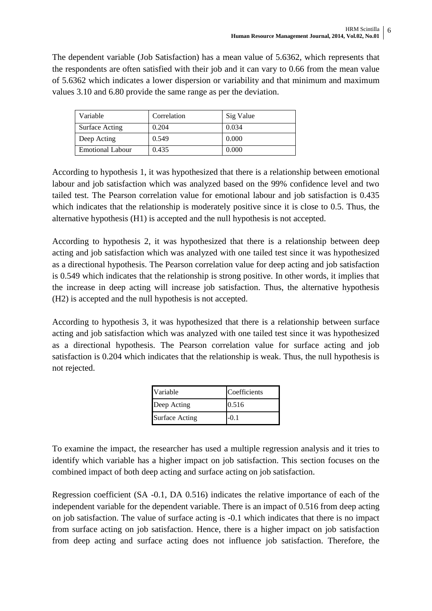The dependent variable (Job Satisfaction) has a mean value of 5.6362, which represents that the respondents are often satisfied with their job and it can vary to 0.66 from the mean value of 5.6362 which indicates a lower dispersion or variability and that minimum and maximum values 3.10 and 6.80 provide the same range as per the deviation.

| Variable                | Correlation | Sig Value |
|-------------------------|-------------|-----------|
| Surface Acting          | 0.204       | 0.034     |
| Deep Acting             | 0.549       | 0.000     |
| <b>Emotional Labour</b> | 0.435       | 0.000     |

According to hypothesis 1, it was hypothesized that there is a relationship between emotional labour and job satisfaction which was analyzed based on the 99% confidence level and two tailed test. The Pearson correlation value for emotional labour and job satisfaction is 0.435 which indicates that the relationship is moderately positive since it is close to 0.5. Thus, the alternative hypothesis (H1) is accepted and the null hypothesis is not accepted.

According to hypothesis 2, it was hypothesized that there is a relationship between deep acting and job satisfaction which was analyzed with one tailed test since it was hypothesized as a directional hypothesis. The Pearson correlation value for deep acting and job satisfaction is 0.549 which indicates that the relationship is strong positive. In other words, it implies that the increase in deep acting will increase job satisfaction. Thus, the alternative hypothesis (H2) is accepted and the null hypothesis is not accepted.

According to hypothesis 3, it was hypothesized that there is a relationship between surface acting and job satisfaction which was analyzed with one tailed test since it was hypothesized as a directional hypothesis. The Pearson correlation value for surface acting and job satisfaction is 0.204 which indicates that the relationship is weak. Thus, the null hypothesis is not rejected.

| Variable              | Coefficients |
|-----------------------|--------------|
| Deep Acting           | 0.516        |
| <b>Surface Acting</b> | -0.1         |

To examine the impact, the researcher has used a multiple regression analysis and it tries to identify which variable has a higher impact on job satisfaction. This section focuses on the combined impact of both deep acting and surface acting on job satisfaction.

Regression coefficient (SA -0.1, DA 0.516) indicates the relative importance of each of the independent variable for the dependent variable. There is an impact of 0.516 from deep acting on job satisfaction. The value of surface acting is -0.1 which indicates that there is no impact from surface acting on job satisfaction. Hence, there is a higher impact on job satisfaction from deep acting and surface acting does not influence job satisfaction. Therefore, the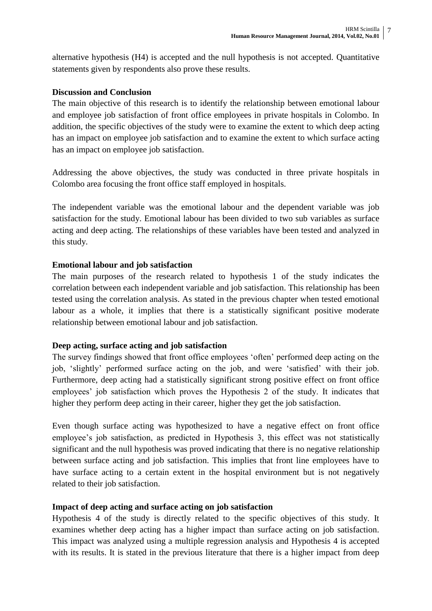alternative hypothesis (H4) is accepted and the null hypothesis is not accepted. Quantitative statements given by respondents also prove these results.

### **Discussion and Conclusion**

The main objective of this research is to identify the relationship between emotional labour and employee job satisfaction of front office employees in private hospitals in Colombo. In addition, the specific objectives of the study were to examine the extent to which deep acting has an impact on employee job satisfaction and to examine the extent to which surface acting has an impact on employee job satisfaction.

Addressing the above objectives, the study was conducted in three private hospitals in Colombo area focusing the front office staff employed in hospitals.

The independent variable was the emotional labour and the dependent variable was job satisfaction for the study. Emotional labour has been divided to two sub variables as surface acting and deep acting. The relationships of these variables have been tested and analyzed in this study.

## **Emotional labour and job satisfaction**

The main purposes of the research related to hypothesis 1 of the study indicates the correlation between each independent variable and job satisfaction. This relationship has been tested using the correlation analysis. As stated in the previous chapter when tested emotional labour as a whole, it implies that there is a statistically significant positive moderate relationship between emotional labour and job satisfaction.

## **Deep acting, surface acting and job satisfaction**

The survey findings showed that front office employees "often" performed deep acting on the job, "slightly" performed surface acting on the job, and were "satisfied" with their job. Furthermore, deep acting had a statistically significant strong positive effect on front office employees" job satisfaction which proves the Hypothesis 2 of the study. It indicates that higher they perform deep acting in their career, higher they get the job satisfaction.

Even though surface acting was hypothesized to have a negative effect on front office employee's job satisfaction, as predicted in Hypothesis 3, this effect was not statistically significant and the null hypothesis was proved indicating that there is no negative relationship between surface acting and job satisfaction. This implies that front line employees have to have surface acting to a certain extent in the hospital environment but is not negatively related to their job satisfaction.

## **Impact of deep acting and surface acting on job satisfaction**

Hypothesis 4 of the study is directly related to the specific objectives of this study. It examines whether deep acting has a higher impact than surface acting on job satisfaction. This impact was analyzed using a multiple regression analysis and Hypothesis 4 is accepted with its results. It is stated in the previous literature that there is a higher impact from deep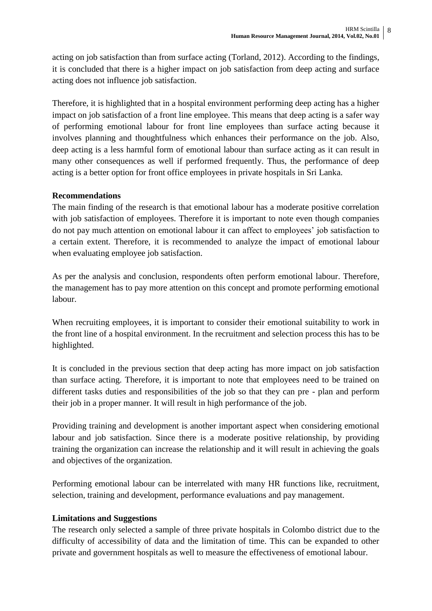acting on job satisfaction than from surface acting (Torland, 2012). According to the findings, it is concluded that there is a higher impact on job satisfaction from deep acting and surface acting does not influence job satisfaction.

Therefore, it is highlighted that in a hospital environment performing deep acting has a higher impact on job satisfaction of a front line employee. This means that deep acting is a safer way of performing emotional labour for front line employees than surface acting because it involves planning and thoughtfulness which enhances their performance on the job. Also, deep acting is a less harmful form of emotional labour than surface acting as it can result in many other consequences as well if performed frequently. Thus, the performance of deep acting is a better option for front office employees in private hospitals in Sri Lanka.

## **Recommendations**

The main finding of the research is that emotional labour has a moderate positive correlation with job satisfaction of employees. Therefore it is important to note even though companies do not pay much attention on emotional labour it can affect to employees" job satisfaction to a certain extent. Therefore, it is recommended to analyze the impact of emotional labour when evaluating employee job satisfaction.

As per the analysis and conclusion, respondents often perform emotional labour. Therefore, the management has to pay more attention on this concept and promote performing emotional labour.

When recruiting employees, it is important to consider their emotional suitability to work in the front line of a hospital environment. In the recruitment and selection process this has to be highlighted.

It is concluded in the previous section that deep acting has more impact on job satisfaction than surface acting. Therefore, it is important to note that employees need to be trained on different tasks duties and responsibilities of the job so that they can pre - plan and perform their job in a proper manner. It will result in high performance of the job.

Providing training and development is another important aspect when considering emotional labour and job satisfaction. Since there is a moderate positive relationship, by providing training the organization can increase the relationship and it will result in achieving the goals and objectives of the organization.

Performing emotional labour can be interrelated with many HR functions like, recruitment, selection, training and development, performance evaluations and pay management.

## **Limitations and Suggestions**

The research only selected a sample of three private hospitals in Colombo district due to the difficulty of accessibility of data and the limitation of time. This can be expanded to other private and government hospitals as well to measure the effectiveness of emotional labour.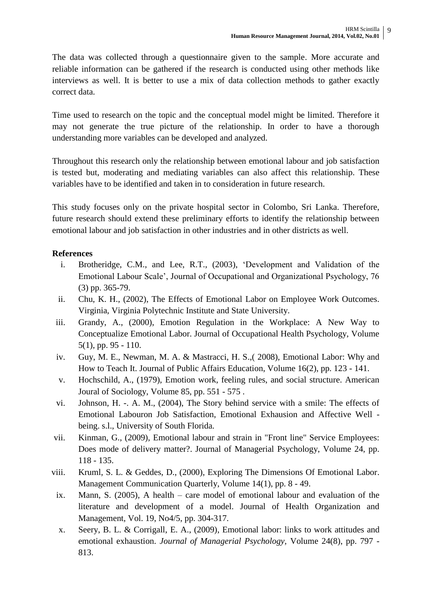The data was collected through a questionnaire given to the sample. More accurate and reliable information can be gathered if the research is conducted using other methods like interviews as well. It is better to use a mix of data collection methods to gather exactly correct data.

Time used to research on the topic and the conceptual model might be limited. Therefore it may not generate the true picture of the relationship. In order to have a thorough understanding more variables can be developed and analyzed.

Throughout this research only the relationship between emotional labour and job satisfaction is tested but, moderating and mediating variables can also affect this relationship. These variables have to be identified and taken in to consideration in future research.

This study focuses only on the private hospital sector in Colombo, Sri Lanka. Therefore, future research should extend these preliminary efforts to identify the relationship between emotional labour and job satisfaction in other industries and in other districts as well.

# **References**

- i. Brotheridge, C.M., and Lee, R.T., (2003), "Development and Validation of the Emotional Labour Scale", Journal of Occupational and Organizational Psychology, 76 (3) pp. 365-79.
- ii. Chu, K. H., (2002), The Effects of Emotional Labor on Employee Work Outcomes. Virginia, Virginia Polytechnic Institute and State University.
- iii. Grandy, A., (2000), Emotion Regulation in the Workplace: A New Way to Conceptualize Emotional Labor. Journal of Occupational Health Psychology, Volume 5(1), pp. 95 - 110.
- iv. Guy, M. E., Newman, M. A. & Mastracci, H. S.,( 2008), Emotional Labor: Why and How to Teach It. Journal of Public Affairs Education, Volume 16(2), pp. 123 - 141.
- v. Hochschild, A., (1979), Emotion work, feeling rules, and social structure. American Joural of Sociology, Volume 85, pp. 551 - 575 .
- vi. Johnson, H. -. A. M., (2004), The Story behind service with a smile: The effects of Emotional Labouron Job Satisfaction, Emotional Exhausion and Affective Well being. s.l., University of South Florida.
- vii. Kinman, G., (2009), Emotional labour and strain in "Front line" Service Employees: Does mode of delivery matter?. Journal of Managerial Psychology, Volume 24, pp. 118 - 135.
- viii. Kruml, S. L. & Geddes, D., (2000), Exploring The Dimensions Of Emotional Labor. Management Communication Quarterly, Volume 14(1), pp. 8 - 49.
- ix. Mann, S. (2005), A health care model of emotional labour and evaluation of the literature and development of a model. Journal of Health Organization and Management, Vol. 19, No4/5, pp. 304-317.
- x. Seery, B. L. & Corrigall, E. A., (2009), Emotional labor: links to work attitudes and emotional exhaustion. *Journal of Managerial Psychology,* Volume 24(8), pp. 797 - 813.